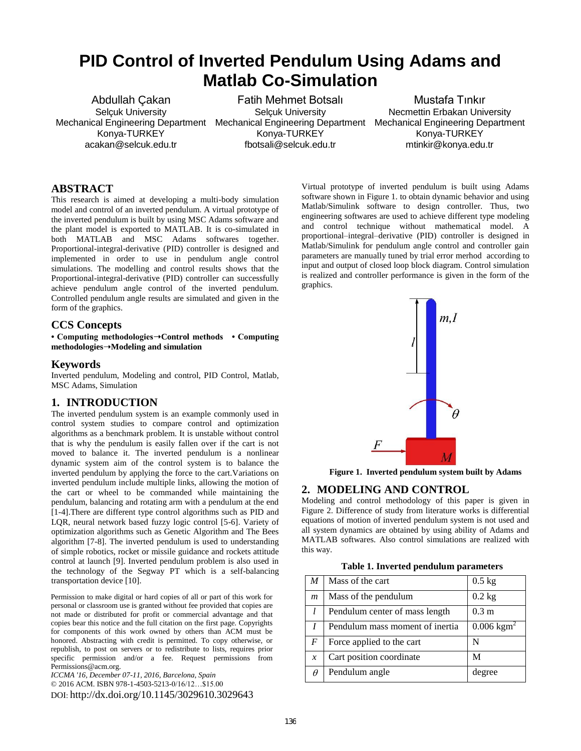# **PID Control of Inverted Pendulum Using Adams and Matlab Co-Simulation**

Abdullah Çakan Selçuk University Konya-TURKEY acakan@selcuk.edu.tr

Mechanical Engineering Department Mechanical Engineering Department Mechanical Engineering Department Fatih Mehmet Botsalı Selçuk University Konya-TURKEY fbotsali@selcuk.edu.tr

Mustafa Tınkır Necmettin Erbakan University Konya-TURKEY mtinkir@konya.edu.tr

#### **ABSTRACT**

This research is aimed at developing a multi-body simulation model and control of an inverted pendulum. A virtual prototype of the inverted pendulum is built by using MSC Adams software and the plant model is exported to MATLAB. It is co-simulated in both MATLAB and MSC Adams softwares together. Proportional-integral-derivative (PID) controller is designed and implemented in order to use in pendulum angle control simulations. The modelling and control results shows that the Proportional-integral-derivative (PID) controller can successfully achieve pendulum angle control of the inverted pendulum. Controlled pendulum angle results are simulated and given in the form of the graphics.

# **CCS Concepts**

**• Computing methodologies**➝**Control methods • Computing methodologies**➝**Modeling and simulation** 

# **Keywords**

Inverted pendulum, Modeling and control, PID Control, Matlab, MSC Adams, Simulation

# **1. INTRODUCTION**

The inverted pendulum system is an example commonly used in control system studies to compare control and optimization algorithms as a benchmark problem. It is unstable without control that is why the pendulum is easily fallen over if the cart is not moved to balance it. The inverted pendulum is a nonlinear dynamic system aim of the control system is to balance the inverted pendulum by applying the force to the cart.Variations on inverted pendulum include multiple links, allowing the motion of the cart or wheel to be commanded while maintaining the pendulum, balancing and rotating arm with a pendulum at the end [1-4].There are different type control algorithms such as PID and LQR, neural network based fuzzy logic control [5-6]. Variety of optimization algorithms such as Genetic Algorithm and The Bees algorithm [7-8]. The inverted pendulum is used to understanding of simple robotics, rocket or missile guidance and rockets attitude control at launch [9]. Inverted pendulum problem is also used in the technology of the Segway PT which is a self-balancing transportation device [10].

Permission to make digital or hard copies of all or part of this work for personal or classroom use is granted without fee provided that copies are not made or distributed for profit or commercial advantage and that copies bear this notice and the full citation on the first page. Copyrights for components of this work owned by others than ACM must be honored. Abstracting with credit is permitted. To copy otherwise, or republish, to post on servers or to redistribute to lists, requires prior specific permission and/or a fee. Request permissions from Permissions@acm.org.

*ICCMA '16, December 07-11, 2016, Barcelona, Spain*  © 2016 ACM. ISBN 978-1-4503-5213-0/16/12…\$15.00

DOI: http://dx.doi.org/10.1145/3029610.3029643

Virtual prototype of inverted pendulum is built using Adams software shown in Figure 1. to obtain dynamic behavior and using Matlab/Simulink software to design controller. Thus, two engineering softwares are used to achieve different type modeling and control technique without mathematical model. A proportional–integral–derivative (PID) controller is designed in Matlab/Simulink for pendulum angle control and controller gain parameters are manually tuned by trial error merhod according to input and output of closed loop block diagram. Control simulation is realized and controller performance is given in the form of the graphics.



**Figure 1. Inverted pendulum system built by Adams** 

#### **2. MODELING AND CONTROL**

Modeling and control methodology of this paper is given in Figure 2. Difference of study from literature works is differential equations of motion of inverted pendulum system is not used and all system dynamics are obtained by using ability of Adams and MATLAB softwares. Also control simulations are realized with this way.

**Table 1. Inverted pendulum parameters** 

| $\boldsymbol{M}$ | Mass of the cart                | $0.5$ kg                 |
|------------------|---------------------------------|--------------------------|
| $\boldsymbol{m}$ | Mass of the pendulum            | $0.2$ kg                 |
|                  | Pendulum center of mass length  | 0.3 <sub>m</sub>         |
|                  | Pendulum mass moment of inertia | $0.006$ kgm <sup>2</sup> |
| F                | Force applied to the cart       | N                        |
| $\mathcal{X}$    | Cart position coordinate        | M                        |
| $\theta$         | Pendulum angle                  | degree                   |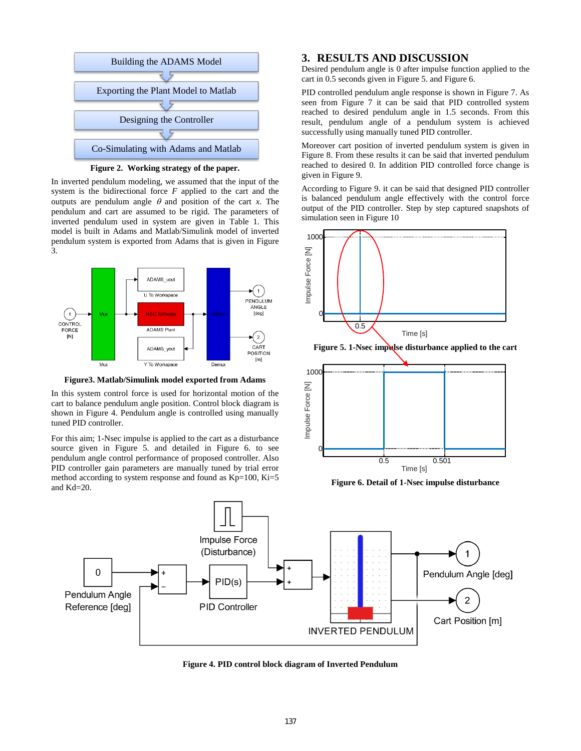

**Figure 2. Working strategy of the paper.** 

In inverted pendulum modeling, we assumed that the input of the system is the bidirectional force *F* applied to the cart and the outputs are pendulum angle  $\theta$  and position of the cart *x*. The pendulum and cart are assumed to be rigid. The parameters of inverted pendulum used in system are given in Table 1. This model is built in Adams and Matlab/Simulink model of inverted pendulum system is exported from Adams that is given in Figure 3.



**Figure3. Matlab/Simulink model exported from Adams** 

In this system control force is used for horizontal motion of the cart to balance pendulum angle position. Control block diagram is shown in Figure 4. Pendulum angle is controlled using manually tuned PID controller.

For this aim; 1-Nsec impulse is applied to the cart as a disturbance source given in Figure 5. and detailed in Figure 6. to see pendulum angle control performance of proposed controller. Also PID controller gain parameters are manually tuned by trial error method according to system response and found as  $Kp=100$ ,  $Ki=5$ and Kd=20.

#### **3. RESULTS AND DISCUSSION**

Desired pendulum angle is 0 after impulse function applied to the cart in 0.5 seconds given in Figure 5. and Figure 6.

PID controlled pendulum angle response is shown in Figure 7. As seen from Figure 7 it can be said that PID controlled system reached to desired pendulum angle in 1.5 seconds. From this result, pendulum angle of a pendulum system is achieved successfully using manually tuned PID controller.

Moreover cart position of inverted pendulum system is given in Figure 8. From these results it can be said that inverted pendulum reached to desired 0. In addition PID controlled force change is given in Figure 9.

According to Figure 9. it can be said that designed PID controller is balanced pendulum angle effectively with the control force output of the PID controller. Step by step captured snapshots of simulation seen in Figure 10



**Figure 6. Detail of 1-Nsec impulse disturbance** 



**Figure 4. PID control block diagram of Inverted Pendulum**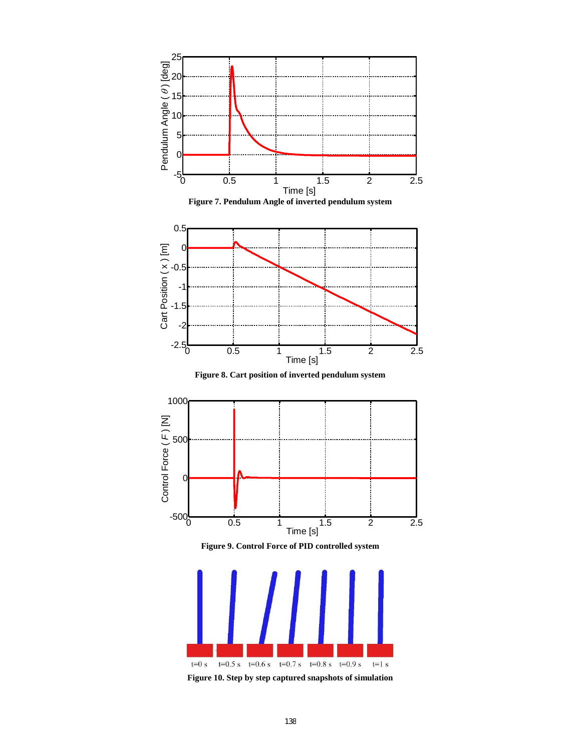

**Figure 10. Step by step captured snapshots of simulation**